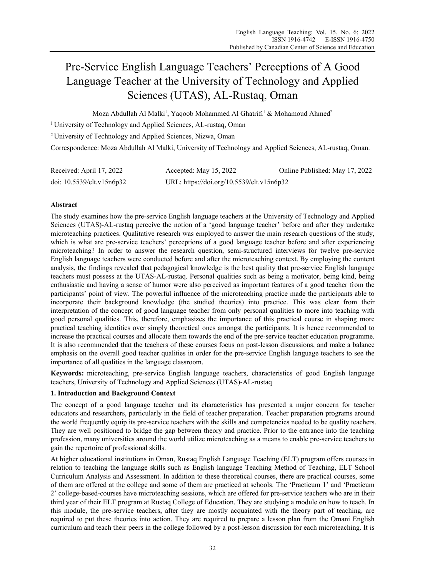# Pre-Service English Language Teachers' Perceptions of A Good Language Teacher at the University of Technology and Applied Sciences (UTAS), AL-Rustaq, Oman

Moza Abdullah Al Malki<sup>1</sup>, Yaqoob Mohammed Al Ghatrifi<sup>1</sup> & Mohamoud Ahmed<sup>2</sup>

1 University of Technology and Applied Sciences, AL-rustaq, Oman

2 University of Technology and Applied Sciences, Nizwa, Oman

Correspondence: Moza Abdullah Al Malki, University of Technology and Applied Sciences, AL-rustaq, Oman.

| Received: April 17, 2022  | Accepted: May 15, 2022                    | Online Published: May 17, 2022 |
|---------------------------|-------------------------------------------|--------------------------------|
| doi: 10.5539/elt.v15n6p32 | URL: https://doi.org/10.5539/elt.v15n6p32 |                                |

# **Abstract**

The study examines how the pre-service English language teachers at the University of Technology and Applied Sciences (UTAS)-AL-rustaq perceive the notion of a 'good language teacher' before and after they undertake microteaching practices. Qualitative research was employed to answer the main research questions of the study, which is what are pre-service teachers' perceptions of a good language teacher before and after experiencing microteaching? In order to answer the research question, semi-structured interviews for twelve pre-service English language teachers were conducted before and after the microteaching context. By employing the content analysis, the findings revealed that pedagogical knowledge is the best quality that pre-service English language teachers must possess at the UTAS-AL-rustaq. Personal qualities such as being a motivator, being kind, being enthusiastic and having a sense of humor were also perceived as important features of a good teacher from the participants' point of view. The powerful influence of the microteaching practice made the participants able to incorporate their background knowledge (the studied theories) into practice. This was clear from their interpretation of the concept of good language teacher from only personal qualities to more into teaching with good personal qualities. This, therefore, emphasizes the importance of this practical course in shaping more practical teaching identities over simply theoretical ones amongst the participants. It is hence recommended to increase the practical courses and allocate them towards the end of the pre-service teacher education programme. It is also recommended that the teachers of these courses focus on post-lesson discussions, and make a balance emphasis on the overall good teacher qualities in order for the pre-service English language teachers to see the importance of all qualities in the language classroom.

**Keywords:** microteaching, pre-service English language teachers, characteristics of good English language teachers, University of Technology and Applied Sciences (UTAS)-AL-rustaq

# **1. Introduction and Background Context**

The concept of a good language teacher and its characteristics has presented a major concern for teacher educators and researchers, particularly in the field of teacher preparation. Teacher preparation programs around the world frequently equip its pre-service teachers with the skills and competencies needed to be quality teachers. They are well positioned to bridge the gap between theory and practice. Prior to the entrance into the teaching profession, many universities around the world utilize microteaching as a means to enable pre-service teachers to gain the repertoire of professional skills.

At higher educational institutions in Oman, Rustaq English Language Teaching (ELT) program offers courses in relation to teaching the language skills such as English language Teaching Method of Teaching, ELT School Curriculum Analysis and Assessment. In addition to these theoretical courses, there are practical courses, some of them are offered at the college and some of them are practiced at schools. The 'Practicum 1' and 'Practicum 2' college-based-courses have microteaching sessions, which are offered for pre-service teachers who are in their third year of their ELT program at Rustaq College of Education. They are studying a module on how to teach. In this module, the pre-service teachers, after they are mostly acquainted with the theory part of teaching, are required to put these theories into action. They are required to prepare a lesson plan from the Omani English curriculum and teach their peers in the college followed by a post-lesson discussion for each microteaching. It is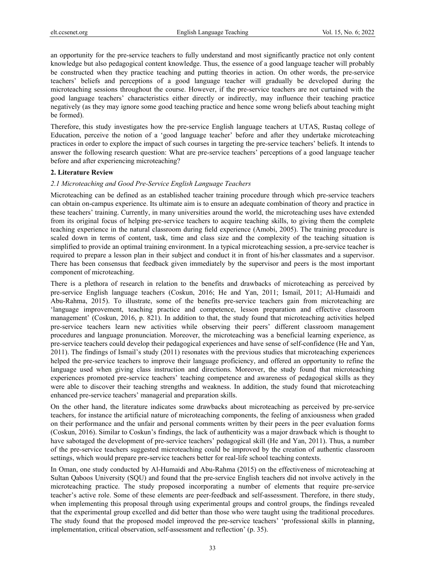an opportunity for the pre-service teachers to fully understand and most significantly practice not only content knowledge but also pedagogical content knowledge. Thus, the essence of a good language teacher will probably be constructed when they practice teaching and putting theories in action. On other words, the pre-service teachers' beliefs and perceptions of a good language teacher will gradually be developed during the microteaching sessions throughout the course. However, if the pre-service teachers are not curtained with the good language teachers' characteristics either directly or indirectly, may influence their teaching practice negatively (as they may ignore some good teaching practice and hence some wrong beliefs about teaching might be formed).

Therefore, this study investigates how the pre-service English language teachers at UTAS, Rustaq college of Education, perceive the notion of a 'good language teacher' before and after they undertake microteaching practices in order to explore the impact of such courses in targeting the pre-service teachers' beliefs. It intends to answer the following research question: What are pre-service teachers' perceptions of a good language teacher before and after experiencing microteaching?

#### **2. Literature Review**

#### *2.1 Microteaching and Good Pre-Service English Language Teachers*

Microteaching can be defined as an established teacher training procedure through which pre-service teachers can obtain on-campus experience. Its ultimate aim is to ensure an adequate combination of theory and practice in these teachers' training. Currently, in many universities around the world, the microteaching uses have extended from its original focus of helping pre-service teachers to acquire teaching skills, to giving them the complete teaching experience in the natural classroom during field experience (Amobi, 2005). The training procedure is scaled down in terms of content, task, time and class size and the complexity of the teaching situation is simplified to provide an optimal training environment. In a typical microteaching session, a pre-service teacher is required to prepare a lesson plan in their subject and conduct it in front of his/her classmates and a supervisor. There has been consensus that feedback given immediately by the supervisor and peers is the most important component of microteaching.

There is a plethora of research in relation to the benefits and drawbacks of microteaching as perceived by pre-service English language teachers (Coskun, 2016; He and Yan, 2011; Ismail, 2011; Al-Humaidi and Abu-Rahma, 2015). To illustrate, some of the benefits pre-service teachers gain from microteaching are 'language improvement, teaching practice and competence, lesson preparation and effective classroom management' (Coskun, 2016, p. 821). In addition to that, the study found that microteaching activities helped pre-service teachers learn new activities while observing their peers' different classroom management procedures and language pronunciation. Moreover, the microteaching was a beneficial learning experience, as pre-service teachers could develop their pedagogical experiences and have sense of self-confidence (He and Yan, 2011). The findings of Ismail's study (2011) resonates with the previous studies that microteaching experiences helped the pre-service teachers to improve their language proficiency, and offered an opportunity to refine the language used when giving class instruction and directions. Moreover, the study found that microteaching experiences promoted pre-service teachers' teaching competence and awareness of pedagogical skills as they were able to discover their teaching strengths and weakness. In addition, the study found that microteaching enhanced pre-service teachers' managerial and preparation skills.

On the other hand, the literature indicates some drawbacks about microteaching as perceived by pre-service teachers, for instance the artificial nature of microteaching components, the feeling of anxiousness when graded on their performance and the unfair and personal comments written by their peers in the peer evaluation forms (Coskun, 2016). Similar to Coskun's findings, the lack of authenticity was a major drawback which is thought to have sabotaged the development of pre-service teachers' pedagogical skill (He and Yan, 2011). Thus, a number of the pre-service teachers suggested microteaching could be improved by the creation of authentic classroom settings, which would prepare pre-service teachers better for real-life school teaching contexts.

In Oman, one study conducted by Al-Humaidi and Abu-Rahma (2015) on the effectiveness of microteaching at Sultan Qaboos University (SQU) and found that the pre-service English teachers did not involve actively in the microteaching practice. The study proposed incorporating a number of elements that require pre-service teacher's active role. Some of these elements are peer-feedback and self-assessment. Therefore, in there study, when implementing this proposal through using experimental groups and control groups, the findings revealed that the experimental group excelled and did better than those who were taught using the traditional procedures. The study found that the proposed model improved the pre-service teachers' 'professional skills in planning, implementation, critical observation, self-assessment and reflection' (p. 35).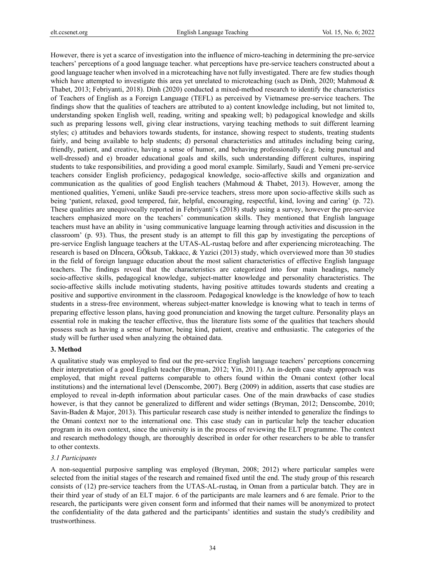However, there is yet a scarce of investigation into the influence of micro-teaching in determining the pre-service teachers' perceptions of a good language teacher. what perceptions have pre-service teachers constructed about a good language teacher when involved in a microteaching have not fully investigated. There are few studies though which have attempted to investigate this area yet unrelated to microteaching (such as Dinh, 2020; Mahmoud & Thabet, 2013; Febriyanti, 2018). Dinh (2020) conducted a mixed-method research to identify the characteristics of Teachers of English as a Foreign Language (TEFL) as perceived by Vietnamese pre-service teachers. The findings show that the qualities of teachers are attributed to a) content knowledge including, but not limited to, understanding spoken English well, reading, writing and speaking well; b) pedagogical knowledge and skills such as preparing lessons well, giving clear instructions, varying teaching methods to suit different learning styles; c) attitudes and behaviors towards students, for instance, showing respect to students, treating students fairly, and being available to help students; d) personal characteristics and attitudes including being caring, friendly, patient, and creative, having a sense of humor, and behaving professionally (e.g. being punctual and well-dressed) and e) broader educational goals and skills, such understanding different cultures, inspiring students to take responsibilities, and providing a good moral example. Similarly, Saudi and Yemeni pre-service teachers consider English proficiency, pedagogical knowledge, socio-affective skills and organization and communication as the qualities of good English teachers (Mahmoud & Thabet, 2013). However, among the mentioned qualities, Yemeni, unlike Saudi pre-service teachers, stress more upon socio-affective skills such as being 'patient, relaxed, good tempered, fair, helpful, encouraging, respectful, kind, loving and caring' (p. 72). These qualities are unequivocally reported in Febriyanti's (2018) study using a survey, however the pre-service teachers emphasized more on the teachers' communication skills. They mentioned that English language teachers must have an ability in 'using communicative language learning through activities and discussion in the classroom' (p. 93). Thus, the present study is an attempt to fill this gap by investigating the perceptions of pre-service English language teachers at the UTAS-AL-rustaq before and after experiencing microteaching. The research is based on Dİncera, GÖksub, Takkacc, & Yazici (2013) study, which overviewed more than 30 studies in the field of foreign language education about the most salient characteristics of effective English language teachers. The findings reveal that the characteristics are categorized into four main headings, namely socio-affective skills, pedagogical knowledge, subject-matter knowledge and personality characteristics. The socio-affective skills include motivating students, having positive attitudes towards students and creating a positive and supportive environment in the classroom. Pedagogical knowledge is the knowledge of how to teach students in a stress-free environment, whereas subject-matter knowledge is knowing what to teach in terms of preparing effective lesson plans, having good pronunciation and knowing the target culture. Personality plays an essential role in making the teacher effective, thus the literature lists some of the qualities that teachers should possess such as having a sense of humor, being kind, patient, creative and enthusiastic. The categories of the study will be further used when analyzing the obtained data.

#### **3. Method**

A qualitative study was employed to find out the pre-service English language teachers' perceptions concerning their interpretation of a good English teacher (Bryman, 2012; Yin, 2011). An in-depth case study approach was employed, that might reveal patterns comparable to others found within the Omani context (other local institutions) and the international level (Denscombe, 2007). Berg (2009) in addition, asserts that case studies are employed to reveal in-depth information about particular cases. One of the main drawbacks of case studies however, is that they cannot be generalized to different and wider settings (Bryman, 2012; Denscombe, 2010; Savin-Baden & Major, 2013). This particular research case study is neither intended to generalize the findings to the Omani context nor to the international one. This case study can in particular help the teacher education program in its own context, since the university is in the process of reviewing the ELT programme. The context and research methodology though, are thoroughly described in order for other researchers to be able to transfer to other contexts.

# *3.1 Participants*

A non-sequential purposive sampling was employed (Bryman, 2008; 2012) where particular samples were selected from the initial stages of the research and remained fixed until the end. The study group of this research consists of (12) pre-service teachers from the UTAS-AL-rustaq, in Oman from a particular batch. They are in their third year of study of an ELT major. 6 of the participants are male learners and 6 are female. Prior to the research, the participants were given consent form and informed that their names will be anonymized to protect the confidentiality of the data gathered and the participants' identities and sustain the study's credibility and trustworthiness.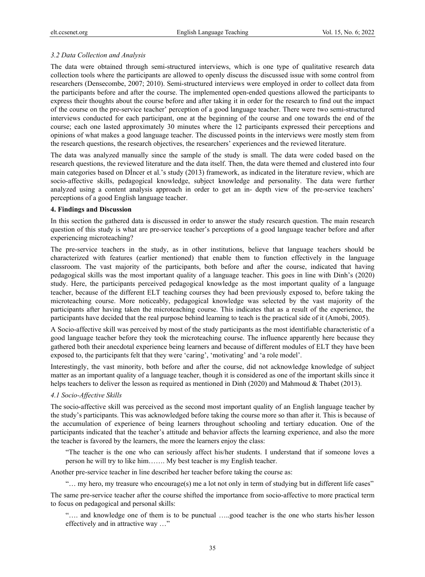# *3.2 Data Collection and Analysis*

The data were obtained through semi-structured interviews, which is one type of qualitative research data collection tools where the participants are allowed to openly discuss the discussed issue with some control from researchers (Densecombe, 2007; 2010). Semi-structured interviews were employed in order to collect data from the participants before and after the course. The implemented open-ended questions allowed the participants to express their thoughts about the course before and after taking it in order for the research to find out the impact of the course on the pre-service teacher' perception of a good language teacher. There were two semi-structured interviews conducted for each participant, one at the beginning of the course and one towards the end of the course; each one lasted approximately 30 minutes where the 12 participants expressed their perceptions and opinions of what makes a good language teacher. The discussed points in the interviews were mostly stem from the research questions, the research objectives, the researchers' experiences and the reviewed literature.

The data was analyzed manually since the sample of the study is small. The data were coded based on the research questions, the reviewed literature and the data itself. Then, the data were themed and clustered into four main categories based on Dİncer et al.'s study (2013) framework, as indicated in the literature review, which are socio-affective skills, pedagogical knowledge, subject knowledge and personality. The data were further analyzed using a content analysis approach in order to get an in- depth view of the pre-service teachers' perceptions of a good English language teacher.

#### **4. Findings and Discussion**

In this section the gathered data is discussed in order to answer the study research question. The main research question of this study is what are pre-service teacher's perceptions of a good language teacher before and after experiencing microteaching?

The pre-service teachers in the study, as in other institutions, believe that language teachers should be characterized with features (earlier mentioned) that enable them to function effectively in the language classroom. The vast majority of the participants, both before and after the course, indicated that having pedagogical skills was the most important quality of a language teacher. This goes in line with Dinh's (2020) study. Here, the participants perceived pedagogical knowledge as the most important quality of a language teacher, because of the different ELT teaching courses they had been previously exposed to, before taking the microteaching course. More noticeably, pedagogical knowledge was selected by the vast majority of the participants after having taken the microteaching course. This indicates that as a result of the experience, the participants have decided that the real purpose behind learning to teach is the practical side of it (Amobi, 2005).

A Socio-affective skill was perceived by most of the study participants as the most identifiable characteristic of a good language teacher before they took the microteaching course. The influence apparently here because they gathered both their anecdotal experience being learners and because of different modules of ELT they have been exposed to, the participants felt that they were 'caring', 'motivating' and 'a role model'.

Interestingly, the vast minority, both before and after the course, did not acknowledge knowledge of subject matter as an important quality of a language teacher, though it is considered as one of the important skills since it helps teachers to deliver the lesson as required as mentioned in Dinh (2020) and Mahmoud & Thabet (2013).

### *4.1 Socio-Affective Skills*

The socio-affective skill was perceived as the second most important quality of an English language teacher by the study's participants. This was acknowledged before taking the course more so than after it. This is because of the accumulation of experience of being learners throughout schooling and tertiary education. One of the participants indicated that the teacher's attitude and behavior affects the learning experience, and also the more the teacher is favored by the learners, the more the learners enjoy the class:

"The teacher is the one who can seriously affect his/her students. I understand that if someone loves a person he will try to like him……. My best teacher is my English teacher.

Another pre-service teacher in line described her teacher before taking the course as:

"… my hero, my treasure who encourage(s) me a lot not only in term of studying but in different life cases"

The same pre-service teacher after the course shifted the importance from socio-affective to more practical term to focus on pedagogical and personal skills:

"…. and knowledge one of them is to be punctual …..good teacher is the one who starts his/her lesson effectively and in attractive way …"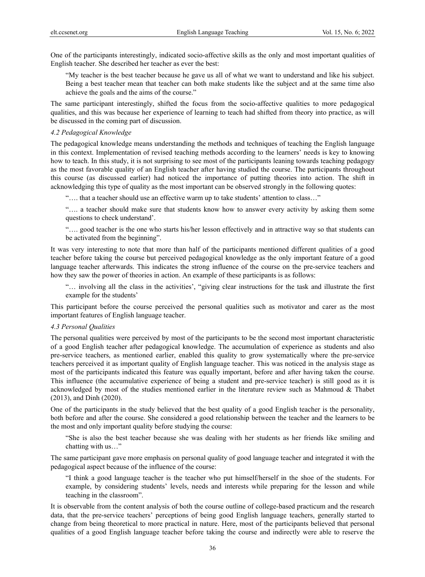One of the participants interestingly, indicated socio-affective skills as the only and most important qualities of English teacher. She described her teacher as ever the best:

"My teacher is the best teacher because he gave us all of what we want to understand and like his subject. Being a best teacher mean that teacher can both make students like the subject and at the same time also achieve the goals and the aims of the course."

The same participant interestingly, shifted the focus from the socio-affective qualities to more pedagogical qualities, and this was because her experience of learning to teach had shifted from theory into practice, as will be discussed in the coming part of discussion.

# *4.2 Pedagogical Knowledge*

The pedagogical knowledge means understanding the methods and techniques of teaching the English language in this context. Implementation of revised teaching methods according to the learners' needs is key to knowing how to teach. In this study, it is not surprising to see most of the participants leaning towards teaching pedagogy as the most favorable quality of an English teacher after having studied the course. The participants throughout this course (as discussed earlier) had noticed the importance of putting theories into action. The shift in acknowledging this type of quality as the most important can be observed strongly in the following quotes:

"…. that a teacher should use an effective warm up to take students' attention to class…"

"…. a teacher should make sure that students know how to answer every activity by asking them some questions to check understand'.

"…. good teacher is the one who starts his/her lesson effectively and in attractive way so that students can be activated from the beginning".

It was very interesting to note that more than half of the participants mentioned different qualities of a good teacher before taking the course but perceived pedagogical knowledge as the only important feature of a good language teacher afterwards. This indicates the strong influence of the course on the pre-service teachers and how they saw the power of theories in action. An example of these participants is as follows:

"… involving all the class in the activities', "giving clear instructions for the task and illustrate the first example for the students'

This participant before the course perceived the personal qualities such as motivator and carer as the most important features of English language teacher.

#### *4.3 Personal Qualities*

The personal qualities were perceived by most of the participants to be the second most important characteristic of a good English teacher after pedagogical knowledge. The accumulation of experience as students and also pre-service teachers, as mentioned earlier, enabled this quality to grow systematically where the pre-service teachers perceived it as important quality of English language teacher. This was noticed in the analysis stage as most of the participants indicated this feature was equally important, before and after having taken the course. This influence (the accumulative experience of being a student and pre-service teacher) is still good as it is acknowledged by most of the studies mentioned earlier in the literature review such as Mahmoud & Thabet (2013), and Dinh (2020).

One of the participants in the study believed that the best quality of a good English teacher is the personality, both before and after the course. She considered a good relationship between the teacher and the learners to be the most and only important quality before studying the course:

"She is also the best teacher because she was dealing with her students as her friends like smiling and chatting with us…"

The same participant gave more emphasis on personal quality of good language teacher and integrated it with the pedagogical aspect because of the influence of the course:

"I think a good language teacher is the teacher who put himself/herself in the shoe of the students. For example, by considering students' levels, needs and interests while preparing for the lesson and while teaching in the classroom".

It is observable from the content analysis of both the course outline of college-based practicum and the research data, that the pre-service teachers' perceptions of being good English language teachers, generally started to change from being theoretical to more practical in nature. Here, most of the participants believed that personal qualities of a good English language teacher before taking the course and indirectly were able to reserve the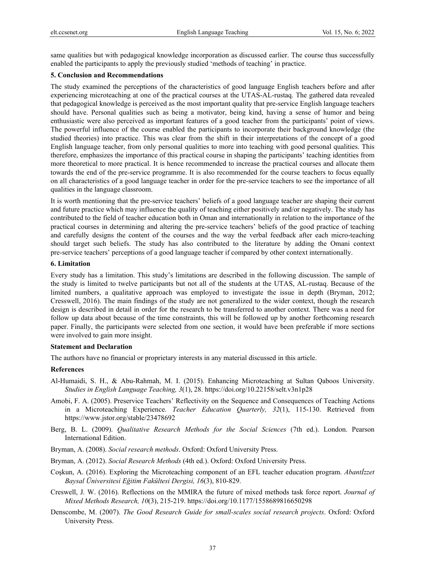same qualities but with pedagogical knowledge incorporation as discussed earlier. The course thus successfully enabled the participants to apply the previously studied 'methods of teaching' in practice.

## **5. Conclusion and Recommendations**

The study examined the perceptions of the characteristics of good language English teachers before and after experiencing microteaching at one of the practical courses at the UTAS-AL-rustaq. The gathered data revealed that pedagogical knowledge is perceived as the most important quality that pre-service English language teachers should have. Personal qualities such as being a motivator, being kind, having a sense of humor and being enthusiastic were also perceived as important features of a good teacher from the participants' point of views. The powerful influence of the course enabled the participants to incorporate their background knowledge (the studied theories) into practice. This was clear from the shift in their interpretations of the concept of a good English language teacher, from only personal qualities to more into teaching with good personal qualities. This therefore, emphasizes the importance of this practical course in shaping the participants' teaching identities from more theoretical to more practical. It is hence recommended to increase the practical courses and allocate them towards the end of the pre-service programme. It is also recommended for the course teachers to focus equally on all characteristics of a good language teacher in order for the pre-service teachers to see the importance of all qualities in the language classroom.

It is worth mentioning that the pre-service teachers' beliefs of a good language teacher are shaping their current and future practice which may influence the quality of teaching either positively and/or negatively. The study has contributed to the field of teacher education both in Oman and internationally in relation to the importance of the practical courses in determining and altering the pre-service teachers' beliefs of the good practice of teaching and carefully designs the content of the courses and the way the verbal feedback after each micro-teaching should target such beliefs. The study has also contributed to the literature by adding the Omani context pre-service teachers' perceptions of a good language teacher if compared by other context internationally.

## **6. Limitation**

Every study has a limitation. This study's limitations are described in the following discussion. The sample of the study is limited to twelve participants but not all of the students at the UTAS, AL-rustaq. Because of the limited numbers, a qualitative approach was employed to investigate the issue in depth (Bryman, 2012; Cresswell, 2016). The main findings of the study are not generalized to the wider context, though the research design is described in detail in order for the research to be transferred to another context. There was a need for follow up data about because of the time constraints, this will be followed up by another forthcoming research paper. Finally, the participants were selected from one section, it would have been preferable if more sections were involved to gain more insight.

# **Statement and Declaration**

The authors have no financial or proprietary interests in any material discussed in this article.

#### **References**

- Al-Humaidi, S. H., & Abu-Rahmah, M. I. (2015). Enhancing Microteaching at Sultan Qaboos University. *Studies in English Language Teaching, 3*(1), 28. https://doi.org/10.22158/selt.v3n1p28
- Amobi, F. A. (2005). Preservice Teachers' Reflectivity on the Sequence and Consequences of Teaching Actions in a Microteaching Experience. *Teacher Education Quarterly, 32*(1), 115-130. Retrieved from https://www.jstor.org/stable/23478692
- Berg, B. L. (2009). *Qualitative Research Methods for the Social Sciences* (7th ed.). London. Pearson International Edition.
- Bryman, A. (2008). *Social research methods*. Oxford: Oxford University Press.
- Bryman, A. (2012). *Social Research Methods* (4th ed.). Oxford: Oxford University Press.
- Coşkun, A. (2016). Exploring the Microteaching component of an EFL teacher education program. *Abantİzzet Baysal Üniversitesi Eğitim Fakültesi Dergisi, 16*(3), 810-829.
- Creswell, J. W. (2016). Reflections on the MMIRA the future of mixed methods task force report. *Journal of Mixed Methods Research, 10*(3), 215-219. https://doi.org/10.1177/1558689816650298
- Denscombe, M. (2007). *The Good Research Guide for small-scales social research projects*. Oxford: Oxford University Press.